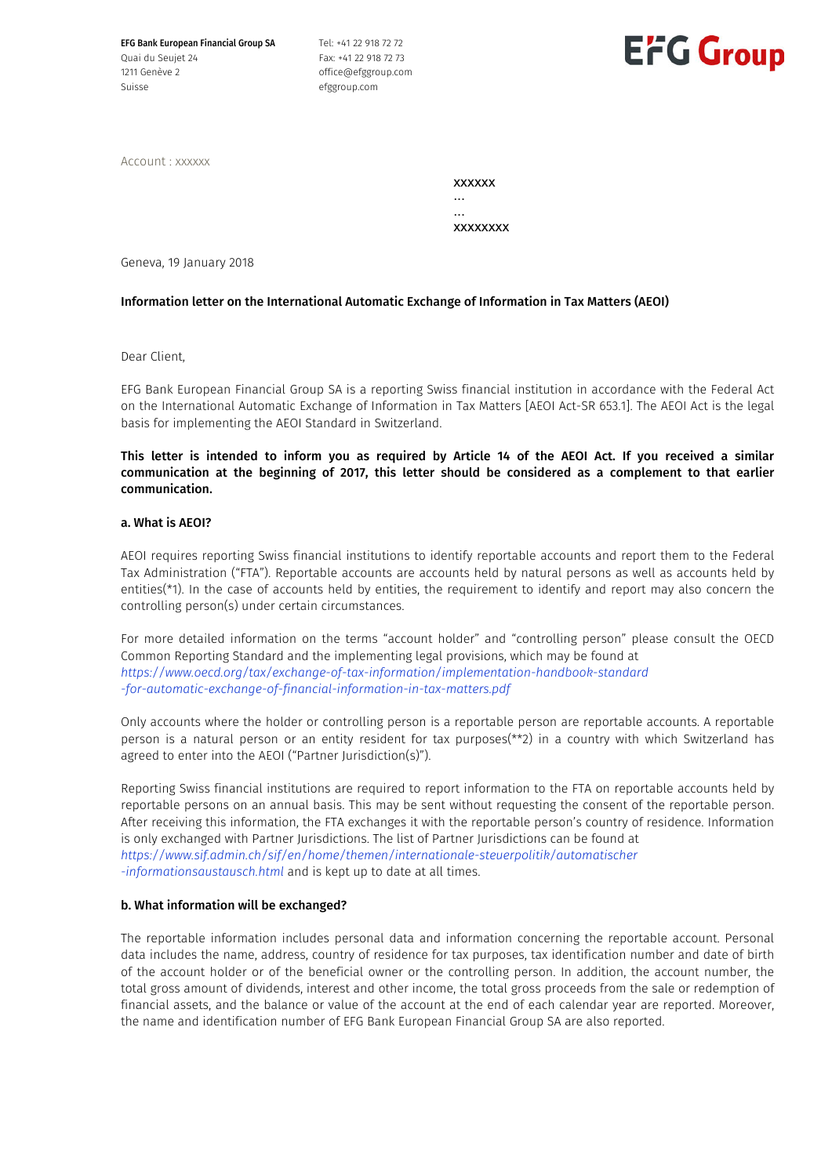EFG Bank European Financial Group SA Quai du Seujet 24 1211 Genève 2 Suisse

Tel: +41 22 918 72 72 Fax: +41 22 918 72 73 office@efggroup.com efggroup.com



Account : xxxxxx

xxxxxx ... ... xxxxxxxx

Geneva, 19 January 2018

## Information letter on the International Automatic Exchange of Information in Tax Matters (AEOI)

Dear Client,

EFG Bank European Financial Group SA is a reporting Swiss financial institution in accordance with the Federal Act on the International Automatic Exchange of Information in Tax Matters [AEOI Act-SR 653.1]. The AEOI Act is the legal basis for implementing the AEOI Standard in Switzerland.

This letter is intended to inform you as required by Article 14 of the AEOI Act. If you received a similar communication at the beginning of 2017, this letter should be considered as a complement to that earlier communication.

### a. What is AEOI?

AEOI requires reporting Swiss financial institutions to identify reportable accounts and report them to the Federal Tax Administration ("FTA"). Reportable accounts are accounts held by natural persons as well as accounts held by entities(\*1). In the case of accounts held by entities, the requirement to identify and report may also concern the controlling person(s) under certain circumstances.

For more detailed information on the terms "account holder" and "controlling person" please consult the OECD Common Reporting Standard and the implementing legal provisions, which may be found at *https://www.oecd.org/tax/exchange-of-tax-information/implementation-handbook-standard -for-automatic-exchange-of-financial-information-in-tax-matters.pdf*

Only accounts where the holder or controlling person is a reportable person are reportable accounts. A reportable person is a natural person or an entity resident for tax purposes(\*\*2) in a country with which Switzerland has agreed to enter into the AEOI ("Partner Jurisdiction(s)").

Reporting Swiss financial institutions are required to report information to the FTA on reportable accounts held by reportable persons on an annual basis. This may be sent without requesting the consent of the reportable person. After receiving this information, the FTA exchanges it with the reportable person's country of residence. Information is only exchanged with Partner Jurisdictions. The list of Partner Jurisdictions can be found at *https://www.sif.admin.ch/sif/en/home/themen/internationale-steuerpolitik/automatischer -informationsaustausch.html* and is kept up to date at all times.

## b. What information will be exchanged?

The reportable information includes personal data and information concerning the reportable account. Personal data includes the name, address, country of residence for tax purposes, tax identification number and date of birth of the account holder or of the beneficial owner or the controlling person. In addition, the account number, the total gross amount of dividends, interest and other income, the total gross proceeds from the sale or redemption of financial assets, and the balance or value of the account at the end of each calendar year are reported. Moreover, the name and identification number of EFG Bank European Financial Group SA are also reported.